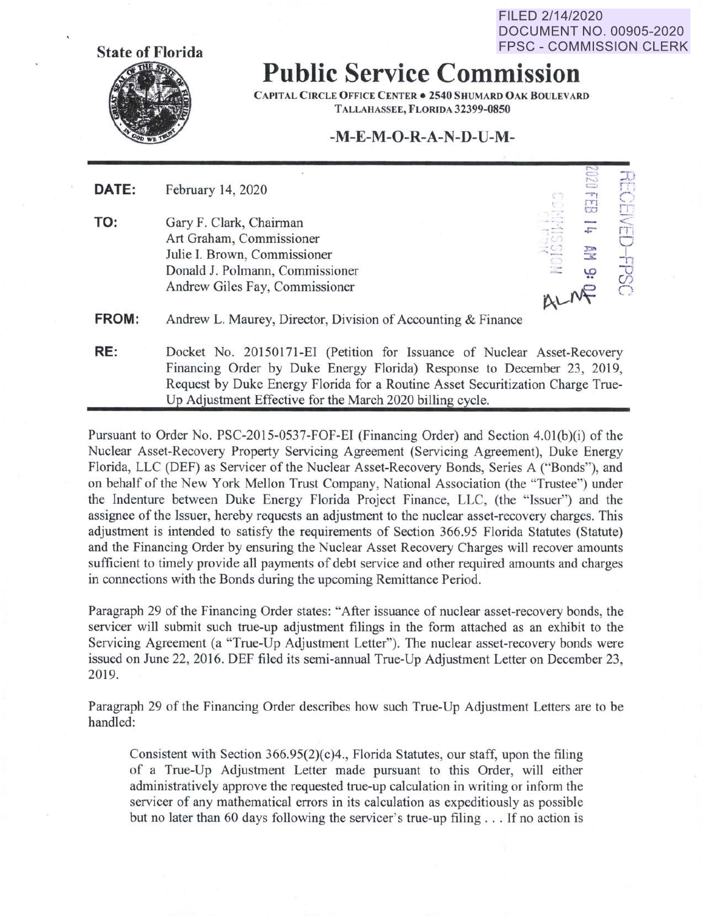FILED 2/14/2020 DOCUMENT NO. 00905-2020 FPSC - COMMISSION CLERK

 $\sim$ 



## **Public Service Commission**

**CAPITAL CIRCLE OFFICE CENTER• 2540 SHUMARD OAK BOULEVARD TALLAHASSEE, FL0RJDA 32399-0850** 

### **-M-E-M-O-R-A-N-D-U-M-**

| DATE: | February 14, 2020                                                                                                                                        |           | 0707<br>$\overline{\phantom{a}}$<br>m            | 콖<br>CEN                                                |
|-------|----------------------------------------------------------------------------------------------------------------------------------------------------------|-----------|--------------------------------------------------|---------------------------------------------------------|
| TO:   | Gary F. Clark, Chairman<br>Art Graham, Commissioner<br>Julie I. Brown, Commissioner<br>Donald J. Polmann, Commissioner<br>Andrew Giles Fay, Commissioner | æ<br>ALME | CO<br>$\sqrt{2\pi}$<br>$\frac{1}{\sqrt{2}}$<br>ڥ | $\mathsf{FT}$<br>$\overline{\mathbb{C}}$<br><b>FPSC</b> |
| FROM: | Andrew L. Maurey, Director, Division of Accounting & Finance                                                                                             |           |                                                  |                                                         |
| RE:   | Docket No. 20150171-EI (Petition for Issuance of Nuclear Asset-Recovery<br>Financing Order by Duke Energy Florida) Response to December 23, 2019,        |           |                                                  |                                                         |

Request by Duke Energy Florida for a Routine Asset Securitization Charge True-Up Adjustment Effective for the March 2020 billing cycle. Pursuant to Order No. PSC-2015-0537-FOF-EI (Financing Order) and Section 4.0l(b)(i) of the

Nuclear Asset-Recovery Property Servicing Agreement (Servicing Agreement), Duke Energy Florida, LLC (DEF) as Servicer of the Nuclear Asset-Recovery Bonds, Series A ("Bonds"), and on behalf of the New York Mellon Trust Company, National Association (the "Trustee") under the Indenture between Duke Energy Florida Project Finance, LLC, (the "Issuer") and the assignee of the Issuer, hereby requests an adjustment to the nuclear asset-recovery charges. This adjustment is intended to satisfy the requirements of Section 366.95 Florida Statutes (Statute) and the Financing Order by ensuring the Nuclear Asset Recovery Charges will recover amounts sufficient to timely provide all payments of debt service and other required amounts and charges in connections with the Bonds during the upcoming Remittance Period.

Paragraph 29 of the Financing Order states: "After issuance of nuclear asset-recovery bonds, the servicer will submit such true-up adjustment filings in the form attached as an exhibit to the Servicing Agreement (a "True-Up Adjustment Letter'). The nuclear asset-recovery bonds were issued on June 22, 2016. DEF filed its semi-annual True-Up Adjustment Letter on December 23, 2019.

Paragraph 29 of the Financing Order describes how such True-Up Adjustment Letters are to be handled:

Consistent with Section 366.95(2)(c)4., Florida Statutes, our staff, upon the filing of a True-Up Adjustment Letter made pursuant to this Order, will either administratively approve the requested true-up calculation in writing or infonn the servicer of any mathematical errors in its calculation as expeditiously as possible but no later than 60 days following the servicer's true-up filing ... If no action is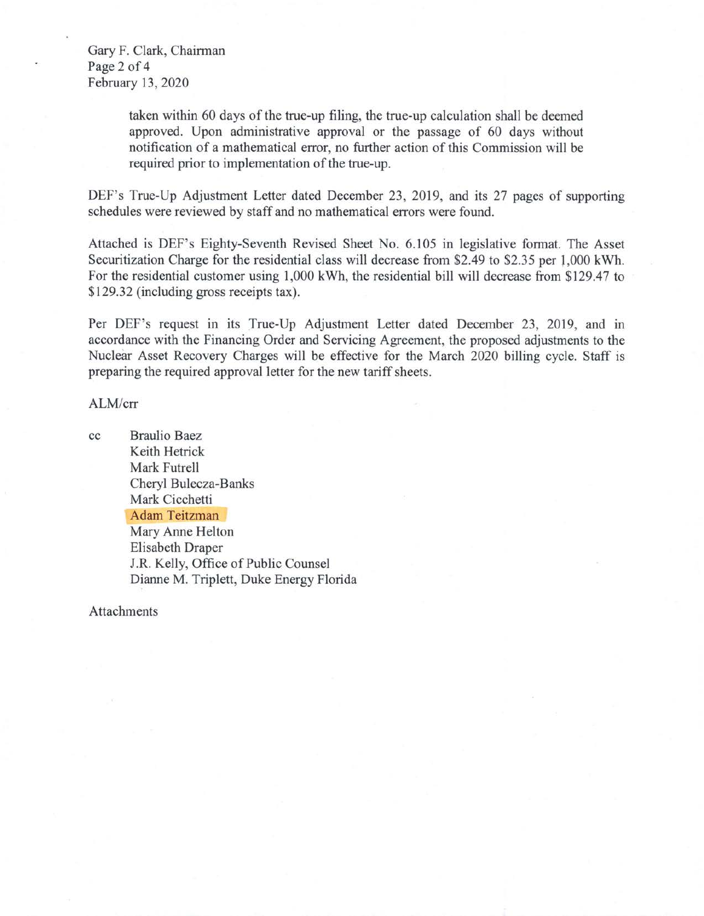Gary F. Clark, Chairman Page 2 of 4 February 13, 2020

> taken within 60 days of the true-up filing, the true-up calculation shall be deemed approved. Upon administrative approval or the passage of 60 days without notification of a mathematical error, no further action of this Commission will be required prior to implementation of the true-up.

DEF's True-Up Adjustment Letter dated December 23, 2019, and its 27 pages of supporting schedules were reviewed by staff and no mathematical errors were found.

Attached is DEF's Eighty-Seventh Revised Sheet No. 6.105 in legislative format. The Asset Securitization Charge for the residential class will decrease from \$2.49 to \$2.35 per J,000 kWh. For the residential customer using 1,000 kWh, the residential bill will decrease from \$129.47 to \$129.32 (including gross receipts tax).

Per DEF's request in its True-Up Adjustment Letter dated December 23, 2019, and in accordance with the Financing Order and Servicing Agreement, the proposed adjustments to the Nuclear Asset Recovery Charges will be effective for the March 2020 billing cycle. Staff is preparing the required approval letter for the new tariff sheets.

#### ALM/err

cc Braulio Baez Keith Hetrick Mark Futrell Cheryl Bulecza-Banks Mark Cicchetti Adam Teitzman Mary Anne Helton Elisabeth Draper J.R. Kelly, Office of Public Counsel Dianne M. Triplett, Duke Energy Florida

Attachments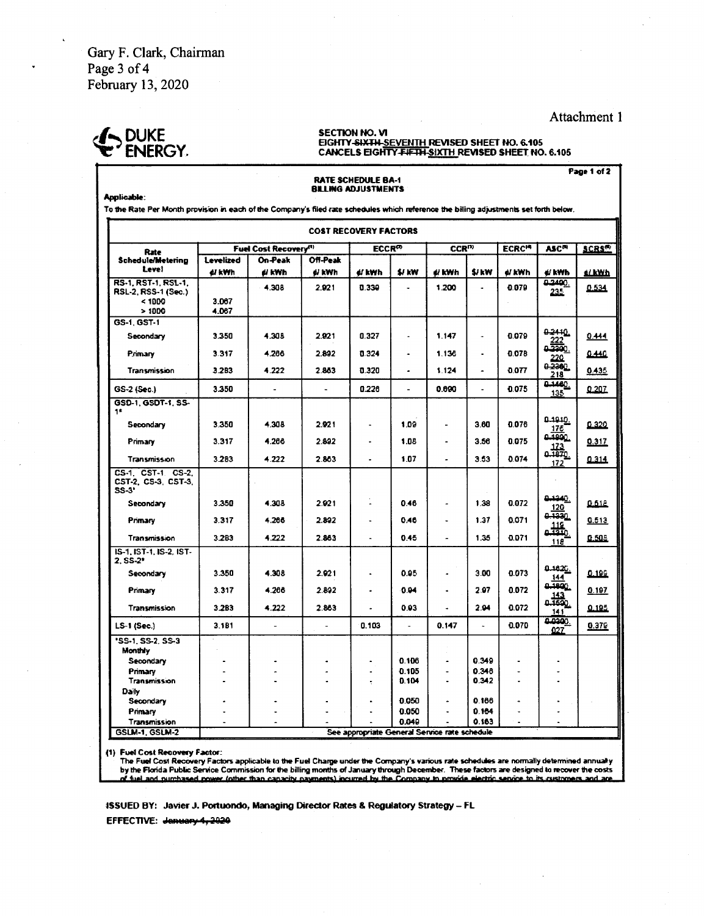Gary F. Clark, Chairman Page 3 of 4 February 13, 2020

# DUKE<br>ENERGY

#### SECTION NO. VI EIGHTY-SIXTH-SEVENTH REVISED SHEET NO. 6.105 CANCELS EIGHTY FIFTH SIXTH REVISED SHEET NO. 6.105

**Applicable:** 

To the Rate Per Month provision in each of the Company's filed rate schedules which reference the billing adjustments set forth below. **COST RECOVERY FACTORS** Fuel Cost Recovery<sup>(1)</sup>  $ECCR^{\infty}$  $CCR^{12}$ ECRC<sup>14</sup>  $ASC^{m}$  $SCRS^{\odot}$ Rate Off-Peak **Schedule/Metering** On-Peak **Levelized** Level el kvrh el kWh el kWh ∉/ kWh \$/ kW e kWh \$/kW el kWh ∉ kWh é/ kWh 0.2400. **RS-1 RST-1 RSL-1** 4.308 2.921 0.330 1.200 0.079 0.534 RSL-2, RSS-1 (Sec.) 235  $< 1000$ 3.067  $>1000$ 4.067 GS-1, GST-1 0.2410 3.350 4.305 2.921 0.327 1.147 0.079  $0.444$ Secondary l. 222 a Primary 3.317 4.266 2.892  $0.324$  $\ddot{\phantom{a}}$ 1.136  $\overline{\phantom{a}}$ 0.078 0.440 220 0.2300 3.2B3 4.222 2.863  $0.320$  $1.124$ 0.077 0.435 Transmission  $\overline{218}$ **D.1460** 3.350  $0.226$ 0.690 0.075  $0.207$ GS-2 (Sec.) ÷.  $\overline{a}$  $\ddot{\phantom{a}}$  $\overline{a}$ 135 GSD-1, GSDT-1, SS-18 0.1910. 3.350 4.308 2.921 1.09  $3.60$ 0.076 0.320 Secondary 175 4.266 3.317 2.822 1.08 3.56 0.075 0.317 Primary  $\ddot{\phantom{a}}$  $\ddot{\phantom{a}}$  $\frac{1}{46}$ 3.283 4.222 2.863 1.07 3.53  $0.074$  $0.314$ Transmission  $\bullet$  $\ddot{\phantom{a}}$ 172 CS-1, CST-1, CS-2, CST-2, CS-3, CST-3, SS-31 1240 Secondary 3.350 4.308 2.921 û 0.46 1.38 0.072  $0.518$ L,  $\frac{120}{0.1330}$ Pomary 3.317 4.266 2.892  $0.46$  $1.37$ 0.071  $0.513$  $\ddot{\phantom{0}}$  $\ddot{\phantom{0}}$  $\frac{116}{440}$ Transmission 3.283 4.222 2.863  $0.45$ 1.35 0.071 0.508 118 IS-1, IST-1, IS-2, IST- $2.55-2*$ يتعمده 0.95 3.00 0.073 Secondary 3.350 4.308 2.921 0.199  $\sim$ l, <u>144</u> نهقته Primary 3.317 4.266 2.892 0.94 2.97 0.072  $0.197$  $\frac{143}{0.162}$ Transmission 3.2B3 4.222 2.863  $0.03$ 2.94 0.072 0.195  $\ddot{\phantom{0}}$ l.  $141$ 10200  $0.070$ 0.103  $0.147$ LS-1 (Sec.) 3 1 8 1  $\overline{a}$  $\overline{a}$  $\mathbf{r}$  $0.379$  $\overline{a}$  $027$ 'SS-1, SS-2, SS-3 Monthly  $0.106$  $0.349$ Secondary Primary 0.105 L. 0.346 l.  $\overline{a}$  $\sim$  $\overline{\phantom{a}}$  $\overline{a}$ L. Transmission  $0.104$ 0.342 Daily 0.050 0.166 Secondary Primary  $\overline{a}$ J. 0.050  $0.164$  $\overline{a}$ 0.049 0.163 Transmission GSLM-1, GSLM-2 See appropriate General Service rate schedule

**RATE SCHEDULE BA-1 BILLING ADJUSTMENTS** 

(1) Fuel Cost Recovery Factor:

The Fuel Cost Recovery Factors applicable to the Fuel Charge under the Company's various rate schedules are normally determined annually by the Florida Public Service Commission for the billing months of January through December. These factors are designed to recover the costs<br>of fuel and purchased power (other than capacity payments) incurred by the Compan

1SSUED BY: Javier J. Portuondo, Managing Director Rates & Regulatory Strategy - FL

EFFECTIVE: January 4, 2020

Attachment 1

Page 1 of 2